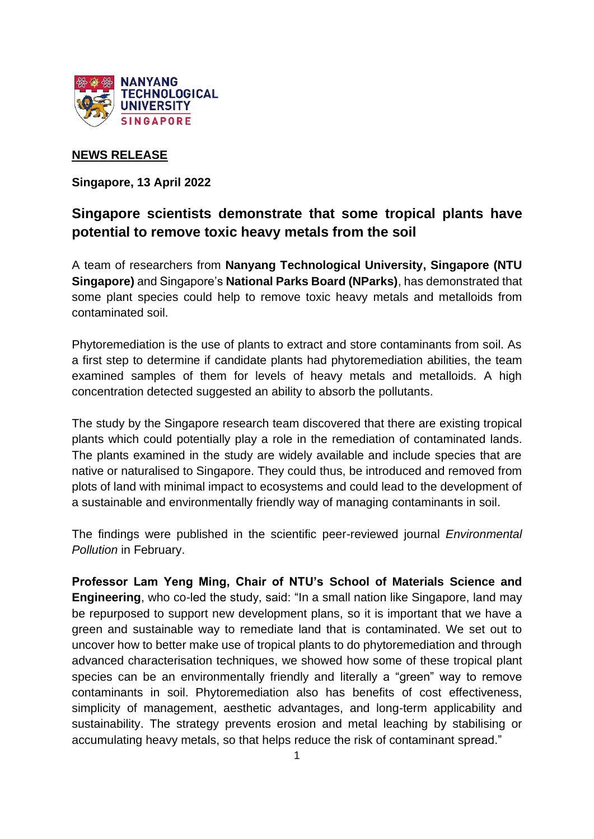

# **NEWS RELEASE**

**Singapore, 13 April 2022** 

# **Singapore scientists demonstrate that some tropical plants have potential to remove toxic heavy metals from the soil**

A team of researchers from **Nanyang Technological University, Singapore (NTU Singapore)** and Singapore's **National Parks Board (NParks)**, has demonstrated that some plant species could help to remove toxic heavy metals and metalloids from contaminated soil.

Phytoremediation is the use of plants to extract and store contaminants from soil. As a first step to determine if candidate plants had phytoremediation abilities, the team examined samples of them for levels of heavy metals and metalloids. A high concentration detected suggested an ability to absorb the pollutants.

The study by the Singapore research team discovered that there are existing tropical plants which could potentially play a role in the remediation of contaminated lands. The plants examined in the study are widely available and include species that are native or naturalised to Singapore. They could thus, be introduced and removed from plots of land with minimal impact to ecosystems and could lead to the development of a sustainable and environmentally friendly way of managing contaminants in soil.

The findings were published in the scientific peer-reviewed journal *Environmental Pollution* in February.

**Professor Lam Yeng Ming, Chair of NTU's School of Materials Science and Engineering**, who co-led the study, said: "In a small nation like Singapore, land may be repurposed to support new development plans, so it is important that we have a green and sustainable way to remediate land that is contaminated. We set out to uncover how to better make use of tropical plants to do phytoremediation and through advanced characterisation techniques, we showed how some of these tropical plant species can be an environmentally friendly and literally a "green" way to remove contaminants in soil. Phytoremediation also has benefits of cost effectiveness, simplicity of management, aesthetic advantages, and long-term applicability and sustainability. The strategy prevents erosion and metal leaching by stabilising or accumulating heavy metals, so that helps reduce the risk of contaminant spread."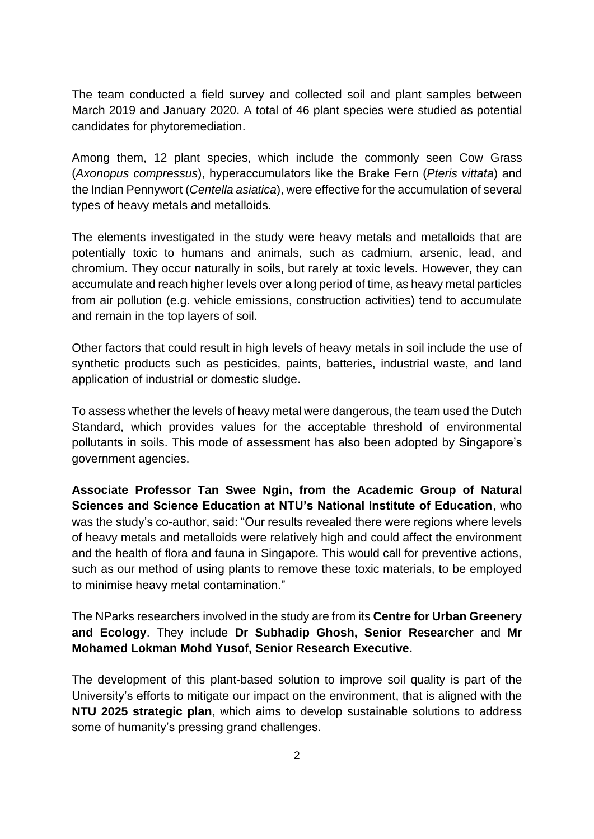The team conducted a field survey and collected soil and plant samples between March 2019 and January 2020. A total of 46 plant species were studied as potential candidates for phytoremediation.

Among them, 12 plant species, which include the commonly seen Cow Grass (*Axonopus compressus*), hyperaccumulators like the Brake Fern (*Pteris vittata*) and the Indian Pennywort (*Centella asiatica*), were effective for the accumulation of several types of heavy metals and metalloids.

The elements investigated in the study were heavy metals and metalloids that are potentially toxic to humans and animals, such as cadmium, arsenic, lead, and chromium. They occur naturally in soils, but rarely at toxic levels. However, they can accumulate and reach higher levels over a long period of time, as heavy metal particles from air pollution (e.g. vehicle emissions, construction activities) tend to accumulate and remain in the top layers of soil.

Other factors that could result in high levels of heavy metals in soil include the use of synthetic products such as pesticides, paints, batteries, industrial waste, and land application of industrial or domestic sludge.

To assess whether the levels of heavy metal were dangerous, the team used the Dutch Standard, which provides values for the acceptable threshold of environmental pollutants in soils. This mode of assessment has also been adopted by Singapore's government agencies.

**Associate Professor Tan Swee Ngin, from the Academic Group of Natural Sciences and Science Education at NTU's National Institute of Education**, who was the study's co-author, said: "Our results revealed there were regions where levels of heavy metals and metalloids were relatively high and could affect the environment and the health of flora and fauna in Singapore. This would call for preventive actions, such as our method of using plants to remove these toxic materials, to be employed to minimise heavy metal contamination."

The NParks researchers involved in the study are from its **Centre for Urban Greenery and Ecology**. They include **Dr Subhadip Ghosh, Senior Researcher** and **Mr Mohamed Lokman Mohd Yusof, Senior Research Executive.**

The development of this plant-based solution to improve soil quality is part of the University's efforts to mitigate our impact on the environment, that is aligned with the **NTU 2025 strategic plan**, which aims to develop sustainable solutions to address some of humanity's pressing grand challenges.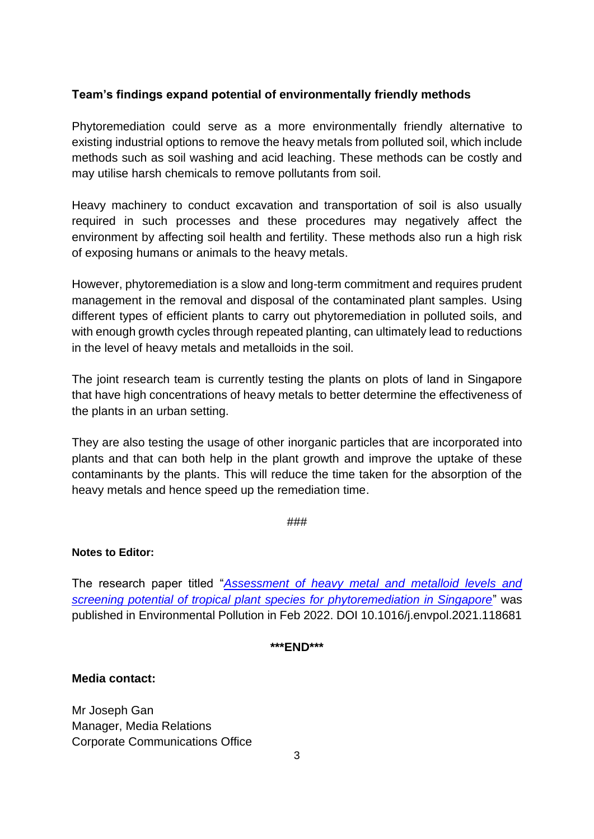# **Team's findings expand potential of environmentally friendly methods**

Phytoremediation could serve as a more environmentally friendly alternative to existing industrial options to remove the heavy metals from polluted soil, which include methods such as soil washing and acid leaching. These methods can be costly and may utilise harsh chemicals to remove pollutants from soil.

Heavy machinery to conduct excavation and transportation of soil is also usually required in such processes and these procedures may negatively affect the environment by affecting soil health and fertility. These methods also run a high risk of exposing humans or animals to the heavy metals.

However, phytoremediation is a slow and long-term commitment and requires prudent management in the removal and disposal of the contaminated plant samples. Using different types of efficient plants to carry out phytoremediation in polluted soils, and with enough growth cycles through repeated planting, can ultimately lead to reductions in the level of heavy metals and metalloids in the soil.

The joint research team is currently testing the plants on plots of land in Singapore that have high concentrations of heavy metals to better determine the effectiveness of the plants in an urban setting.

They are also testing the usage of other inorganic particles that are incorporated into plants and that can both help in the plant growth and improve the uptake of these contaminants by the plants. This will reduce the time taken for the absorption of the heavy metals and hence speed up the remediation time.

###

### **Notes to Editor:**

The research paper titled "*[Assessment of heavy metal and metalloid levels and](https://www3.ntu.edu.sg/CorpComms2/Releases/NR2022/NR_220413_phyto/phytoremediation.pdf)  [screening potential of tropical plant species for phytoremediation in Singapore](https://www3.ntu.edu.sg/CorpComms2/Releases/NR2022/NR_220413_phyto/phytoremediation.pdf)*" was published in Environmental Pollution in Feb 2022. DOI 10.1016/j.envpol.2021.118681

**\*\*\*END\*\*\***

#### **Media contact:**

Mr Joseph Gan Manager, Media Relations Corporate Communications Office